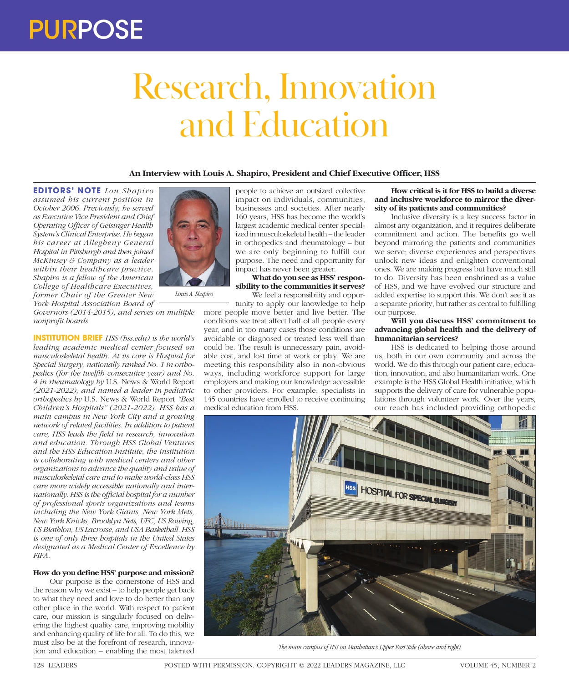# Research, Innovation and Education

**An Interview with Louis A. Shapiro, President and Chief Executive Officer, HSS**

**EDITORS' NOTE** *Lou Shapiro assumed his current position in October 2006. Previously, he served as Executive Vice President and Chief Operating Officer of Geisinger Health System's Clinical Enterprise. He began his career at Allegheny General Hospital in Pittsburgh and then joined McKinsey & Company as a leader within their healthcare practice. Shapiro is a fellow of the American College of Healthcare Executives, former Chair of the Greater New York Hospital Association Board of* 



*Louis A. Shapiro*

*Governors (2014-2015), and serves on multiple nonprofit boards.*

**INSTITUTION BRIEF** *HSS (hss.edu) is the world's leading academic medical center focused on musculoskeletal health. At its core is Hospital for Special Surgery, nationally ranked No. 1 in orthopedics (for the twelfth consecutive year) and No. 4 in rheumatology by* U.S. News & World Report *(2021-2022), and named a leader in pediatric orthopedics by* U.S. News & World Report *"Best Children's Hospitals" (2021-2022). HSS has a main campus in New York City and a growing network of related facilities. In addition to patient care, HSS leads the field in research, innovation and education. Through HSS Global Ventures and the HSS Education Institute, the institution is collaborating with medical centers and other organizations to advance the quality and value of musculoskeletal care and to make world-class HSS care more widely accessible nationally and internationally. HSS is the official hospital for a number of professional sports organizations and teams including the New York Giants, New York Mets, New York Knicks, Brooklyn Nets, UFC, US Rowing, US Biathlon, US Lacrosse, and USA Basketball. HSS is one of only three hospitals in the United States designated as a Medical Center of Excellence by FIFA.*

## **How do you define HSS' purpose and mission?**

Our purpose is the cornerstone of HSS and the reason why we exist – to help people get back to what they need and love to do better than any other place in the world. With respect to patient care, our mission is singularly focused on delivering the highest quality care, improving mobility and enhancing quality of life for all. To do this, we must also be at the forefront of research, innovation and education – enabling the most talented

people to achieve an outsized collective impact on individuals, communities, businesses and societies. After nearly 160 years, HSS has become the world's largest academic medical center specialized in musculoskeletal health – the leader in orthopedics and rheumatology – but we are only beginning to fulfill our purpose. The need and opportunity for impact has never been greater.

**What do you see as HSS' responsibility to the communities it serves?** We feel a responsibility and oppor-

tunity to apply our knowledge to help more people move better and live better. The conditions we treat affect half of all people every year, and in too many cases those conditions are avoidable or diagnosed or treated less well than could be. The result is unnecessary pain, avoidable cost, and lost time at work or play. We are meeting this responsibility also in non-obvious ways, including workforce support for large employers and making our knowledge accessible to other providers. For example, specialists in 145 countries have enrolled to receive continuing medical education from HSS.

**How critical is it for HSS to build a diverse and inclusive workforce to mirror the diversity of its patients and communities?**

Inclusive diversity is a key success factor in almost any organization, and it requires deliberate commitment and action. The benefits go well beyond mirroring the patients and communities we serve; diverse experiences and perspectives unlock new ideas and enlighten conventional ones. We are making progress but have much still to do. Diversity has been enshrined as a value of HSS, and we have evolved our structure and added expertise to support this. We don't see it as a separate priority, but rather as central to fulfilling our purpose.

#### **Will you discuss HSS' commitment to advancing global health and the delivery of humanitarian services?**

HSS is dedicated to helping those around us, both in our own community and across the world. We do this through our patient care, education, innovation, and also humanitarian work. One example is the HSS Global Health initiative, which supports the delivery of care for vulnerable populations through volunteer work. Over the years, our reach has included providing orthopedic



*The main campus of HSS on Manhattan's Upper East Side (above and right)*